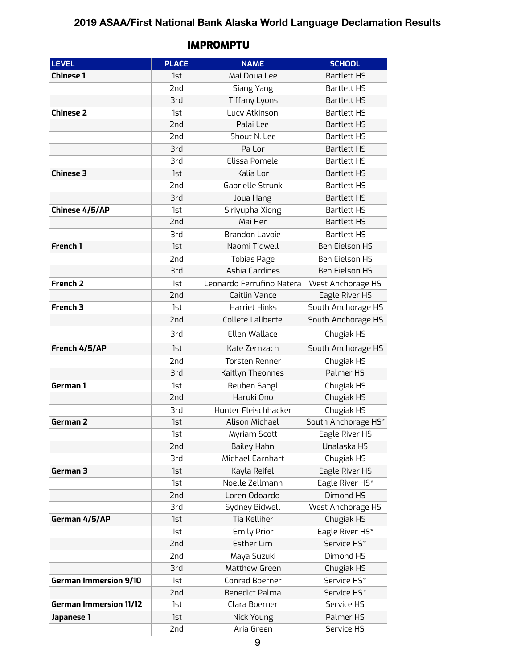## **2019 ASAA/First National Bank Alaska World Language Declamation Results**

| <b>LEVEL</b>                  | <b>PLACE</b> | <b>NAME</b>               | <b>SCHOOL</b>         |
|-------------------------------|--------------|---------------------------|-----------------------|
| <b>Chinese 1</b>              | 1st          | Mai Doua Lee              | <b>Bartlett HS</b>    |
|                               | 2nd          | Siang Yang                | <b>Bartlett HS</b>    |
|                               | <b>3rd</b>   | <b>Tiffany Lyons</b>      | <b>Bartlett HS</b>    |
| <b>Chinese 2</b>              | 1st          | Lucy Atkinson             | <b>Bartlett HS</b>    |
|                               | 2nd          | Palai Lee                 | <b>Bartlett HS</b>    |
|                               | 2nd          | Shout N. Lee              | <b>Bartlett HS</b>    |
|                               | <b>3rd</b>   | Pa Lor                    | <b>Bartlett HS</b>    |
|                               | 3rd          | Elissa Pomele             | <b>Bartlett HS</b>    |
| <b>Chinese 3</b>              | 1st          | Kalia Lor                 | <b>Bartlett HS</b>    |
|                               | 2nd          | Gabrielle Strunk          | <b>Bartlett HS</b>    |
|                               | 3rd          | Joua Hang                 | <b>Bartlett HS</b>    |
| Chinese 4/5/AP                | 1st          | Siriyupha Xiong           | <b>Bartlett HS</b>    |
|                               | 2nd          | Mai Her                   | <b>Bartlett HS</b>    |
|                               | <b>3rd</b>   | <b>Brandon Lavoie</b>     | <b>Bartlett HS</b>    |
| French 1                      | 1st          | Naomi Tidwell             | <b>Ben Eielson HS</b> |
|                               | 2nd          | <b>Tobias Page</b>        | <b>Ben Eielson HS</b> |
|                               | <b>3rd</b>   | Ashia Cardines            | <b>Ben Eielson HS</b> |
| <b>French 2</b>               | 1st          | Leonardo Ferrufino Natera | West Anchorage HS     |
|                               | 2nd          | Caitlin Vance             | Eagle River HS        |
| French 3                      | 1st          | <b>Harriet Hinks</b>      | South Anchorage HS    |
|                               | 2nd          | Collete Laliberte         | South Anchorage HS    |
|                               | <b>3rd</b>   | Ellen Wallace             | Chugiak HS            |
| French 4/5/AP                 | 1st          | Kate Zernzach             | South Anchorage HS    |
|                               | 2nd          | <b>Torsten Renner</b>     | Chugiak HS            |
|                               | 3rd          | Kaitlyn Theonnes          | Palmer HS             |
| German 1                      | 1st          | Reuben Sangl              | Chugiak HS            |
|                               | 2nd          | Haruki Ono                | Chugiak HS            |
|                               | 3rd          | Hunter Fleischhacker      | Chugiak HS            |
| German 2                      | 1st          | <b>Alison Michael</b>     | South Anchorage HS*   |
|                               | 1st          | Myriam Scott              | Eagle River HS        |
|                               | 2nd          | Bailey Hahn               | Unalaska HS           |
|                               | 3rd          | Michael Earnhart          | Chugiak HS            |
| German 3                      | 1st          | Kayla Reifel              | Eagle River HS        |
|                               | 1st          | Noelle Zellmann           | Eagle River HS*       |
|                               | 2nd          | Loren Odoardo             | Dimond HS             |
|                               | 3rd          | Sydney Bidwell            | West Anchorage HS     |
| German 4/5/AP                 | 1st          | Tia Kelliher              | Chugiak HS            |
|                               | 1st          | <b>Emily Prior</b>        | Eagle River HS*       |
|                               | 2nd          | <b>Esther Lim</b>         | Service HS*           |
|                               | 2nd          | Maya Suzuki               | Dimond HS             |
|                               | <b>3rd</b>   | Matthew Green             | Chugiak HS            |
| <b>German Immersion 9/10</b>  | 1st          | Conrad Boerner            | Service HS*           |
|                               | 2nd          | <b>Benedict Palma</b>     | Service HS*           |
| <b>German Immersion 11/12</b> | 1st          | Clara Boerner             | Service HS            |
| Japanese 1                    | 1st          | Nick Young                | Palmer HS             |
|                               | 2nd          | Aria Green                | Service HS            |

## IMPROMPTU